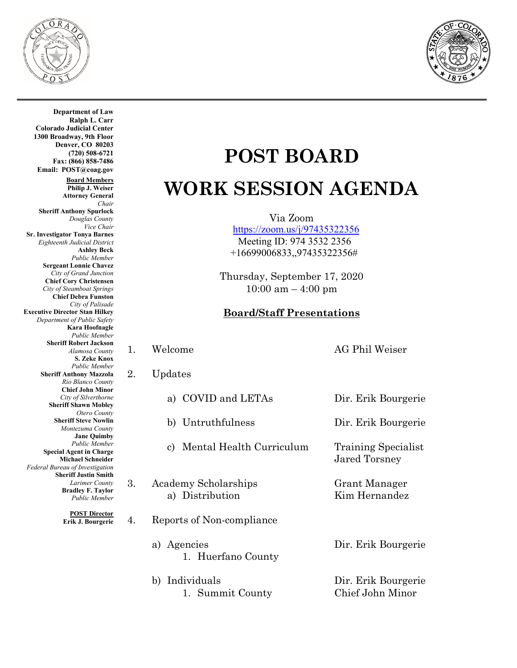

**Department of Law Ralph L. Carr**



**Colorado Judicial Center 1300 Broadway, 9th Floor Denver, CO 80203 (720) 508-6721 Fax: (866) 858-7486 Email: POST@coag.gov Board Members Philip J. Weiser Attorney General** *Chair* **Sheriff Anthony Spurlock** *Douglas County Vice Chair*  **Sr. Investigator Tonya Barnes** *Eighteenth Judicial District* **Ashley Beck** *Public Member* **Sergeant Lonnie Chavez** *City of Grand Junction* **Chief Cory Christensen** *City of Steamboat Springs* **Chief Debra Funston** *City of Palisade* **Executive Director Stan Hilkey** *Department of Public Safety* **Kara Hoofnagle** *Public Member* **Sheriff Robert Jackson** *Alamosa County* **S. Zeke Knox** *Public Member* **Sheriff Anthony Mazzola** *Rio Blanco County* **Chief John Minor** *City of Silverthorne* **Sheriff Shawn Mobley** *Otero County* **Sheriff Steve Nowlin** *Montezuma County* **Jane Quimby** *Public Member* **Special Agent in Charge Michael Schneider** *Federal Bureau of Investigation* **Sheriff Justin Smith** *Larimer County* **Bradley F. Taylor** *Public Member*

> **POST Director Erik J. Bourgerie**

## **POST BOARD WORK SESSION AGENDA**

Via Zoom

 <https://zoom.us/j/97435322356> Meeting ID: 974 3532 2356 +16699006833,,97435322356#

Thursday, September 17, 2020  $10:00$  am  $-4:00$  pm

## **Board/Staff Presentations**

- 1. Welcome AG Phil Weiser
- 2. Updates
	- a) COVID and LETAs Dir. Erik Bourgerie
	-
	- c) Mental Health Curriculum Training Specialist
- 3. Academy Scholarships Grant Manager a) Distribution Kim Hernandez
- 4. Reports of Non-compliance
	- a) Agencies Dir. Erik Bourgerie 1. Huerfano County
	- b) Individuals Dir. Erik Bourgerie 1. Summit County Chief John Minor

b) Untruthfulness Dir. Erik Bourgerie

Jared Torsney